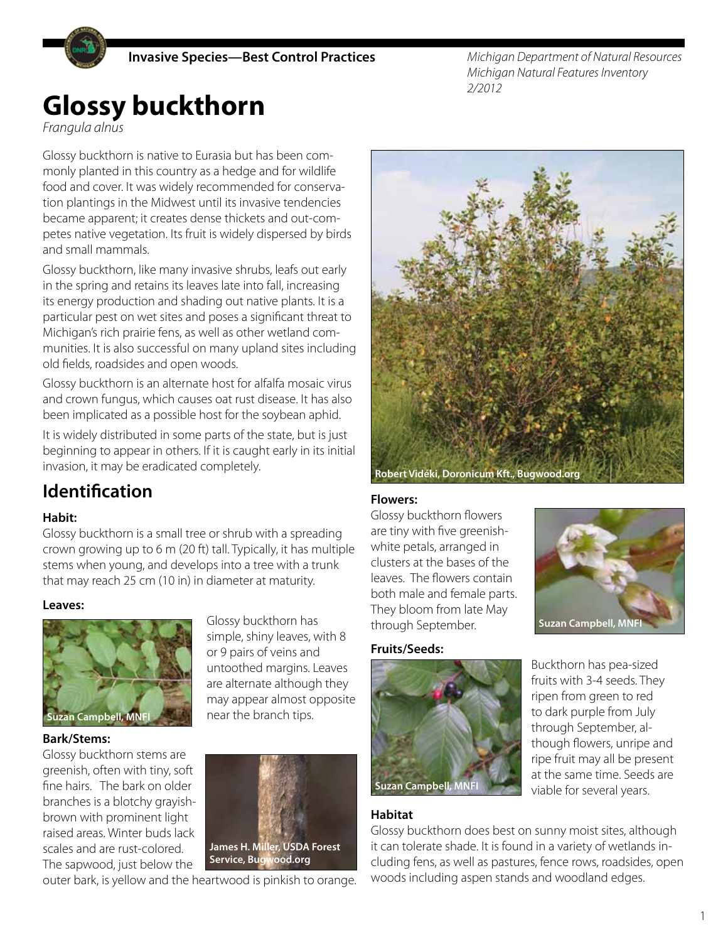**Invasive Species—Best Control Practices**

*Michigan Department of Natural Resources Michigan Natural Features Inventory 2/2012*

# **Glossy buckthorn**

*Frangula alnus*

Glossy buckthorn is native to Eurasia but has been commonly planted in this country as a hedge and for wildlife food and cover. It was widely recommended for conservation plantings in the Midwest until its invasive tendencies became apparent; it creates dense thickets and out-competes native vegetation. Its fruit is widely dispersed by birds and small mammals.

Glossy buckthorn, like many invasive shrubs, leafs out early in the spring and retains its leaves late into fall, increasing its energy production and shading out native plants. It is a particular pest on wet sites and poses a significant threat to Michigan's rich prairie fens, as well as other wetland communities. It is also successful on many upland sites including old fields, roadsides and open woods.

Glossy buckthorn is an alternate host for alfalfa mosaic virus and crown fungus, which causes oat rust disease. It has also been implicated as a possible host for the soybean aphid.

It is widely distributed in some parts of the state, but is just beginning to appear in others. If it is caught early in its initial invasion, it may be eradicated completely.

# **Identification**

#### **Habit:**

Glossy buckthorn is a small tree or shrub with a spreading crown growing up to 6 m (20 ft) tall. Typically, it has multiple stems when young, and develops into a tree with a trunk that may reach 25 cm (10 in) in diameter at maturity.

#### **Leaves:**



#### **Bark/Stems:**

Glossy buckthorn stems are greenish, often with tiny, soft fine hairs. The bark on older branches is a blotchy grayishbrown with prominent light raised areas. Winter buds lack scales and are rust-colored. The sapwood, just below the



Glossy buckthorn has simple, shiny leaves, with 8 or 9 pairs of veins and untoothed margins. Leaves are alternate although they may appear almost opposite

near the branch tips.

outer bark, is yellow and the heartwood is pinkish to orange.



#### **Flowers:**

Glossy buckthorn flowers are tiny with five greenishwhite petals, arranged in clusters at the bases of the leaves. The flowers contain both male and female parts. They bloom from late May through September.



#### **Fruits/Seeds:**



Buckthorn has pea-sized fruits with 3-4 seeds. They ripen from green to red to dark purple from July through September, although flowers, unripe and ripe fruit may all be present at the same time. Seeds are viable for several years.

#### **Habitat**

Glossy buckthorn does best on sunny moist sites, although it can tolerate shade. It is found in a variety of wetlands including fens, as well as pastures, fence rows, roadsides, open woods including aspen stands and woodland edges.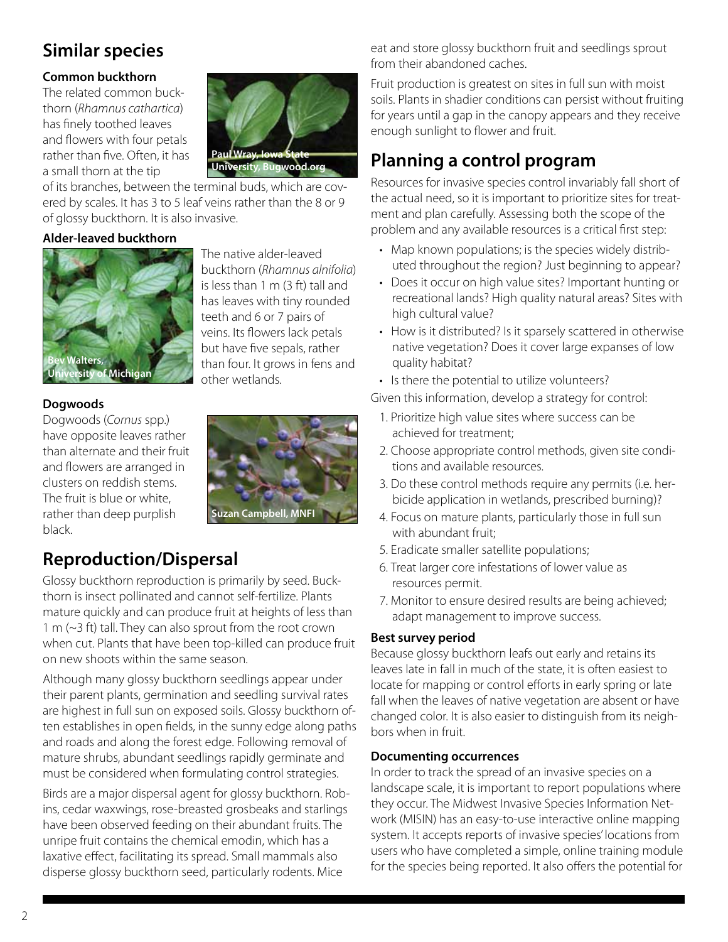# **Similar species**

#### **Common buckthorn**

The related common buckthorn (*Rhamnus cathartica*) has finely toothed leaves and flowers with four petals rather than five. Often, it has a small thorn at the tip



of its branches, between the terminal buds, which are covered by scales. It has 3 to 5 leaf veins rather than the 8 or 9 of glossy buckthorn. It is also invasive.

#### **Alder-leaved buckthorn**



The native alder-leaved buckthorn (*Rhamnus alnifolia*) is less than 1 m (3 ft) tall and has leaves with tiny rounded teeth and 6 or 7 pairs of veins. Its flowers lack petals but have five sepals, rather than four. It grows in fens and other wetlands.

#### **Dogwoods**

Dogwoods (*Cornus* spp.) have opposite leaves rather than alternate and their fruit and flowers are arranged in clusters on reddish stems. The fruit is blue or white, rather than deep purplish black.



# **Reproduction/Dispersal**

Glossy buckthorn reproduction is primarily by seed. Buckthorn is insect pollinated and cannot self-fertilize. Plants mature quickly and can produce fruit at heights of less than 1 m (~3 ft) tall. They can also sprout from the root crown when cut. Plants that have been top-killed can produce fruit on new shoots within the same season.

Although many glossy buckthorn seedlings appear under their parent plants, germination and seedling survival rates are highest in full sun on exposed soils. Glossy buckthorn often establishes in open fields, in the sunny edge along paths and roads and along the forest edge. Following removal of mature shrubs, abundant seedlings rapidly germinate and must be considered when formulating control strategies.

Birds are a major dispersal agent for glossy buckthorn. Robins, cedar waxwings, rose-breasted grosbeaks and starlings have been observed feeding on their abundant fruits. The unripe fruit contains the chemical emodin, which has a laxative effect, facilitating its spread. Small mammals also disperse glossy buckthorn seed, particularly rodents. Mice

eat and store glossy buckthorn fruit and seedlings sprout from their abandoned caches.

Fruit production is greatest on sites in full sun with moist soils. Plants in shadier conditions can persist without fruiting for years until a gap in the canopy appears and they receive enough sunlight to flower and fruit.

# **Planning a control program**

Resources for invasive species control invariably fall short of the actual need, so it is important to prioritize sites for treatment and plan carefully. Assessing both the scope of the problem and any available resources is a critical first step:

- Map known populations; is the species widely distributed throughout the region? Just beginning to appear?
- Does it occur on high value sites? Important hunting or recreational lands? High quality natural areas? Sites with high cultural value?
- How is it distributed? Is it sparsely scattered in otherwise native vegetation? Does it cover large expanses of low quality habitat?
- Is there the potential to utilize volunteers?

Given this information, develop a strategy for control:

- 1. Prioritize high value sites where success can be achieved for treatment;
- 2. Choose appropriate control methods, given site conditions and available resources.
- 3. Do these control methods require any permits (i.e. herbicide application in wetlands, prescribed burning)?
- 4. Focus on mature plants, particularly those in full sun with abundant fruit;
- 5. Eradicate smaller satellite populations;
- 6. Treat larger core infestations of lower value as resources permit.
- 7. Monitor to ensure desired results are being achieved; adapt management to improve success.

#### **Best survey period**

Because glossy buckthorn leafs out early and retains its leaves late in fall in much of the state, it is often easiest to locate for mapping or control efforts in early spring or late fall when the leaves of native vegetation are absent or have changed color. It is also easier to distinguish from its neighbors when in fruit.

#### **Documenting occurrences**

In order to track the spread of an invasive species on a landscape scale, it is important to report populations where they occur. The Midwest Invasive Species Information Network (MISIN) has an easy-to-use interactive online mapping system. It accepts reports of invasive species' locations from users who have completed a simple, online training module for the species being reported. It also offers the potential for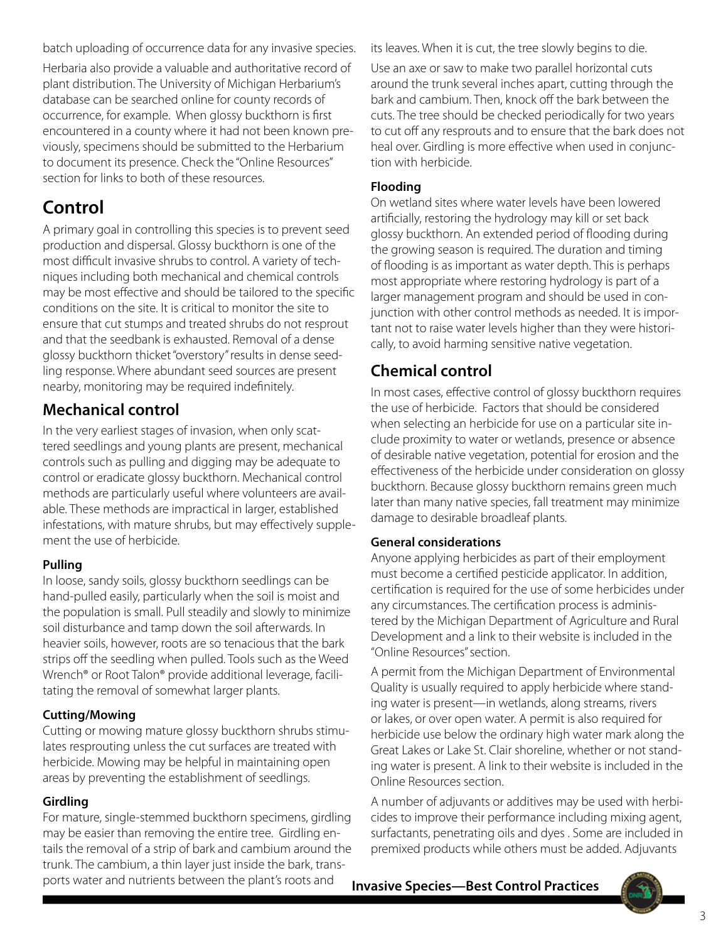batch uploading of occurrence data for any invasive species. Herbaria also provide a valuable and authoritative record of plant distribution. The University of Michigan Herbarium's database can be searched online for county records of occurrence, for example. When glossy buckthorn is first encountered in a county where it had not been known previously, specimens should be submitted to the Herbarium to document its presence. Check the "Online Resources" section for links to both of these resources.

# **Control**

A primary goal in controlling this species is to prevent seed production and dispersal. Glossy buckthorn is one of the most difficult invasive shrubs to control. A variety of techniques including both mechanical and chemical controls may be most effective and should be tailored to the specific conditions on the site. It is critical to monitor the site to ensure that cut stumps and treated shrubs do not resprout and that the seedbank is exhausted. Removal of a dense glossy buckthorn thicket "overstory" results in dense seedling response. Where abundant seed sources are present nearby, monitoring may be required indefinitely.

### **Mechanical control**

In the very earliest stages of invasion, when only scattered seedlings and young plants are present, mechanical controls such as pulling and digging may be adequate to control or eradicate glossy buckthorn. Mechanical control methods are particularly useful where volunteers are available. These methods are impractical in larger, established infestations, with mature shrubs, but may effectively supplement the use of herbicide.

#### **Pulling**

In loose, sandy soils, glossy buckthorn seedlings can be hand-pulled easily, particularly when the soil is moist and the population is small. Pull steadily and slowly to minimize soil disturbance and tamp down the soil afterwards. In heavier soils, however, roots are so tenacious that the bark strips off the seedling when pulled. Tools such as the Weed Wrench® or Root Talon® provide additional leverage, facilitating the removal of somewhat larger plants.

#### **Cutting/Mowing**

Cutting or mowing mature glossy buckthorn shrubs stimulates resprouting unless the cut surfaces are treated with herbicide. Mowing may be helpful in maintaining open areas by preventing the establishment of seedlings.

### **Girdling**

For mature, single-stemmed buckthorn specimens, girdling may be easier than removing the entire tree. Girdling entails the removal of a strip of bark and cambium around the trunk. The cambium, a thin layer just inside the bark, transports water and nutrients between the plant's roots and

its leaves. When it is cut, the tree slowly begins to die.

Use an axe or saw to make two parallel horizontal cuts around the trunk several inches apart, cutting through the bark and cambium. Then, knock off the bark between the cuts. The tree should be checked periodically for two years to cut off any resprouts and to ensure that the bark does not heal over. Girdling is more effective when used in conjunction with herbicide.

#### **Flooding**

On wetland sites where water levels have been lowered artificially, restoring the hydrology may kill or set back glossy buckthorn. An extended period of flooding during the growing season is required. The duration and timing of flooding is as important as water depth. This is perhaps most appropriate where restoring hydrology is part of a larger management program and should be used in conjunction with other control methods as needed. It is important not to raise water levels higher than they were historically, to avoid harming sensitive native vegetation.

## **Chemical control**

In most cases, effective control of glossy buckthorn requires the use of herbicide. Factors that should be considered when selecting an herbicide for use on a particular site include proximity to water or wetlands, presence or absence of desirable native vegetation, potential for erosion and the effectiveness of the herbicide under consideration on glossy buckthorn. Because glossy buckthorn remains green much later than many native species, fall treatment may minimize damage to desirable broadleaf plants.

#### **General considerations**

Anyone applying herbicides as part of their employment must become a certified pesticide applicator. In addition, certification is required for the use of some herbicides under any circumstances. The certification process is administered by the Michigan Department of Agriculture and Rural Development and a link to their website is included in the "Online Resources" section.

A permit from the Michigan Department of Environmental Quality is usually required to apply herbicide where standing water is present—in wetlands, along streams, rivers or lakes, or over open water. A permit is also required for herbicide use below the ordinary high water mark along the Great Lakes or Lake St. Clair shoreline, whether or not standing water is present. A link to their website is included in the Online Resources section.

A number of adjuvants or additives may be used with herbicides to improve their performance including mixing agent, surfactants, penetrating oils and dyes . Some are included in premixed products while others must be added. Adjuvants

**Invasive Species—Best Control Practices**

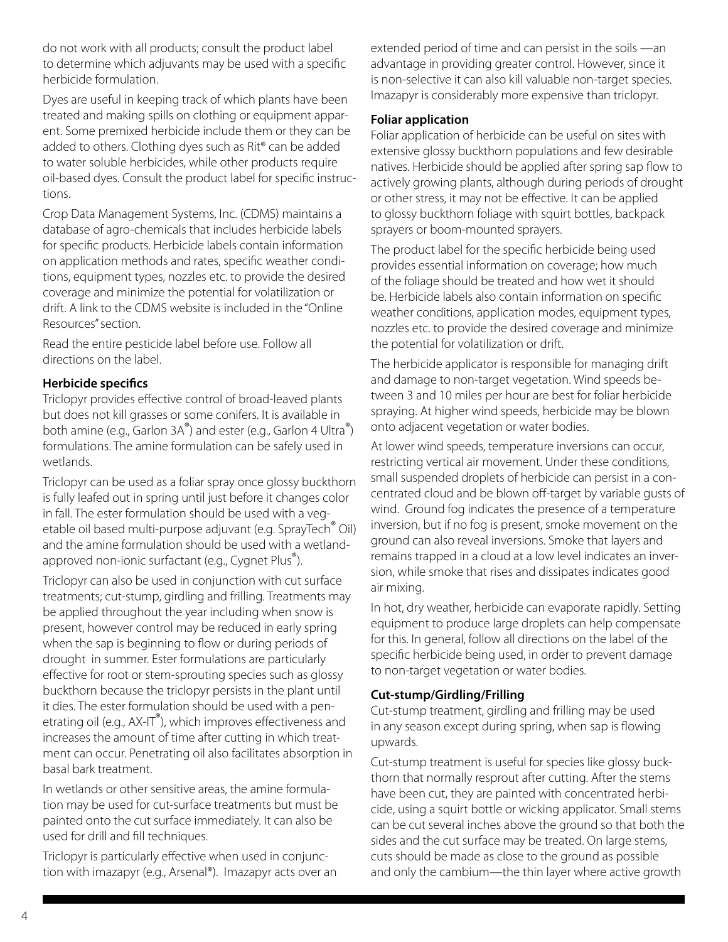do not work with all products; consult the product label to determine which adjuvants may be used with a specific herbicide formulation.

Dyes are useful in keeping track of which plants have been treated and making spills on clothing or equipment apparent. Some premixed herbicide include them or they can be added to others. Clothing dyes such as Rit® can be added to water soluble herbicides, while other products require oil-based dyes. Consult the product label for specific instructions.

Crop Data Management Systems, Inc. (CDMS) maintains a database of agro-chemicals that includes herbicide labels for specific products. Herbicide labels contain information on application methods and rates, specific weather conditions, equipment types, nozzles etc. to provide the desired coverage and minimize the potential for volatilization or drift. A link to the CDMS website is included in the "Online Resources" section.

Read the entire pesticide label before use. Follow all directions on the label.

#### **Herbicide specifics**

Triclopyr provides effective control of broad-leaved plants but does not kill grasses or some conifers. It is available in both amine (e.g., Garlon 3A®) and ester (e.g., Garlon 4 Ultra®) formulations. The amine formulation can be safely used in wetlands.

Triclopyr can be used as a foliar spray once glossy buckthorn is fully leafed out in spring until just before it changes color in fall. The ester formulation should be used with a vegetable oil based multi-purpose adjuvant (e.g. SprayTech<sup>®</sup> Oil) and the amine formulation should be used with a wetlandapproved non-ionic surfactant (e.g., Cygnet Plus®).

Triclopyr can also be used in conjunction with cut surface treatments; cut-stump, girdling and frilling. Treatments may be applied throughout the year including when snow is present, however control may be reduced in early spring when the sap is beginning to flow or during periods of drought in summer. Ester formulations are particularly effective for root or stem-sprouting species such as glossy buckthorn because the triclopyr persists in the plant until it dies. The ester formulation should be used with a penetrating oil (e.g.,  $AX-IT^{\circ}$ ), which improves effectiveness and increases the amount of time after cutting in which treatment can occur. Penetrating oil also facilitates absorption in basal bark treatment.

In wetlands or other sensitive areas, the amine formulation may be used for cut-surface treatments but must be painted onto the cut surface immediately. It can also be used for drill and fill techniques.

Triclopyr is particularly effective when used in conjunction with imazapyr (e.g., Arsenal®). Imazapyr acts over an extended period of time and can persist in the soils —an advantage in providing greater control. However, since it is non-selective it can also kill valuable non-target species. Imazapyr is considerably more expensive than triclopyr.

#### **Foliar application**

Foliar application of herbicide can be useful on sites with extensive glossy buckthorn populations and few desirable natives. Herbicide should be applied after spring sap flow to actively growing plants, although during periods of drought or other stress, it may not be effective. It can be applied to glossy buckthorn foliage with squirt bottles, backpack sprayers or boom-mounted sprayers.

The product label for the specific herbicide being used provides essential information on coverage; how much of the foliage should be treated and how wet it should be. Herbicide labels also contain information on specific weather conditions, application modes, equipment types, nozzles etc. to provide the desired coverage and minimize the potential for volatilization or drift.

The herbicide applicator is responsible for managing drift and damage to non-target vegetation. Wind speeds between 3 and 10 miles per hour are best for foliar herbicide spraying. At higher wind speeds, herbicide may be blown onto adjacent vegetation or water bodies.

At lower wind speeds, temperature inversions can occur, restricting vertical air movement. Under these conditions, small suspended droplets of herbicide can persist in a concentrated cloud and be blown off-target by variable gusts of wind. Ground fog indicates the presence of a temperature inversion, but if no fog is present, smoke movement on the ground can also reveal inversions. Smoke that layers and remains trapped in a cloud at a low level indicates an inversion, while smoke that rises and dissipates indicates good air mixing.

In hot, dry weather, herbicide can evaporate rapidly. Setting equipment to produce large droplets can help compensate for this. In general, follow all directions on the label of the specific herbicide being used, in order to prevent damage to non-target vegetation or water bodies.

#### **Cut-stump/Girdling/Frilling**

Cut-stump treatment, girdling and frilling may be used in any season except during spring, when sap is flowing upwards.

Cut-stump treatment is useful for species like glossy buckthorn that normally resprout after cutting. After the stems have been cut, they are painted with concentrated herbicide, using a squirt bottle or wicking applicator. Small stems can be cut several inches above the ground so that both the sides and the cut surface may be treated. On large stems, cuts should be made as close to the ground as possible and only the cambium—the thin layer where active growth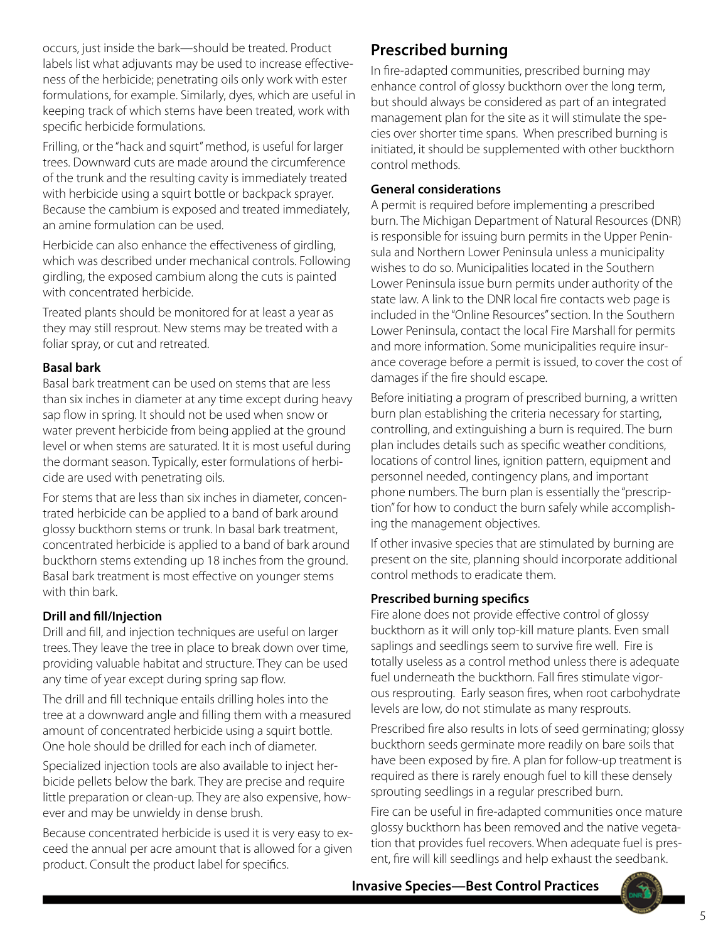occurs, just inside the bark—should be treated. Product labels list what adjuvants may be used to increase effectiveness of the herbicide; penetrating oils only work with ester formulations, for example. Similarly, dyes, which are useful in keeping track of which stems have been treated, work with specific herbicide formulations.

Frilling, or the "hack and squirt" method, is useful for larger trees. Downward cuts are made around the circumference of the trunk and the resulting cavity is immediately treated with herbicide using a squirt bottle or backpack sprayer. Because the cambium is exposed and treated immediately, an amine formulation can be used.

Herbicide can also enhance the effectiveness of girdling, which was described under mechanical controls. Following girdling, the exposed cambium along the cuts is painted with concentrated herbicide.

Treated plants should be monitored for at least a year as they may still resprout. New stems may be treated with a foliar spray, or cut and retreated.

#### **Basal bark**

Basal bark treatment can be used on stems that are less than six inches in diameter at any time except during heavy sap flow in spring. It should not be used when snow or water prevent herbicide from being applied at the ground level or when stems are saturated. It it is most useful during the dormant season. Typically, ester formulations of herbicide are used with penetrating oils.

For stems that are less than six inches in diameter, concentrated herbicide can be applied to a band of bark around glossy buckthorn stems or trunk. In basal bark treatment, concentrated herbicide is applied to a band of bark around buckthorn stems extending up 18 inches from the ground. Basal bark treatment is most effective on younger stems with thin bark.

#### **Drill and fill/Injection**

Drill and fill, and injection techniques are useful on larger trees. They leave the tree in place to break down over time, providing valuable habitat and structure. They can be used any time of year except during spring sap flow.

The drill and fill technique entails drilling holes into the tree at a downward angle and filling them with a measured amount of concentrated herbicide using a squirt bottle. One hole should be drilled for each inch of diameter.

Specialized injection tools are also available to inject herbicide pellets below the bark. They are precise and require little preparation or clean-up. They are also expensive, however and may be unwieldy in dense brush.

Because concentrated herbicide is used it is very easy to exceed the annual per acre amount that is allowed for a given product. Consult the product label for specifics.

### **Prescribed burning**

In fire-adapted communities, prescribed burning may enhance control of glossy buckthorn over the long term, but should always be considered as part of an integrated management plan for the site as it will stimulate the species over shorter time spans. When prescribed burning is initiated, it should be supplemented with other buckthorn control methods.

#### **General considerations**

A permit is required before implementing a prescribed burn. The Michigan Department of Natural Resources (DNR) is responsible for issuing burn permits in the Upper Peninsula and Northern Lower Peninsula unless a municipality wishes to do so. Municipalities located in the Southern Lower Peninsula issue burn permits under authority of the state law. A link to the DNR local fire contacts web page is included in the "Online Resources" section. In the Southern Lower Peninsula, contact the local Fire Marshall for permits and more information. Some municipalities require insurance coverage before a permit is issued, to cover the cost of damages if the fire should escape.

Before initiating a program of prescribed burning, a written burn plan establishing the criteria necessary for starting, controlling, and extinguishing a burn is required. The burn plan includes details such as specific weather conditions, locations of control lines, ignition pattern, equipment and personnel needed, contingency plans, and important phone numbers. The burn plan is essentially the "prescription" for how to conduct the burn safely while accomplishing the management objectives.

If other invasive species that are stimulated by burning are present on the site, planning should incorporate additional control methods to eradicate them.

#### **Prescribed burning specifics**

Fire alone does not provide effective control of glossy buckthorn as it will only top-kill mature plants. Even small saplings and seedlings seem to survive fire well. Fire is totally useless as a control method unless there is adequate fuel underneath the buckthorn. Fall fires stimulate vigorous resprouting. Early season fires, when root carbohydrate levels are low, do not stimulate as many resprouts.

Prescribed fire also results in lots of seed germinating; glossy buckthorn seeds germinate more readily on bare soils that have been exposed by fire. A plan for follow-up treatment is required as there is rarely enough fuel to kill these densely sprouting seedlings in a regular prescribed burn.

Fire can be useful in fire-adapted communities once mature glossy buckthorn has been removed and the native vegetation that provides fuel recovers. When adequate fuel is present, fire will kill seedlings and help exhaust the seedbank.

**Invasive Species—Best Control Practices**

5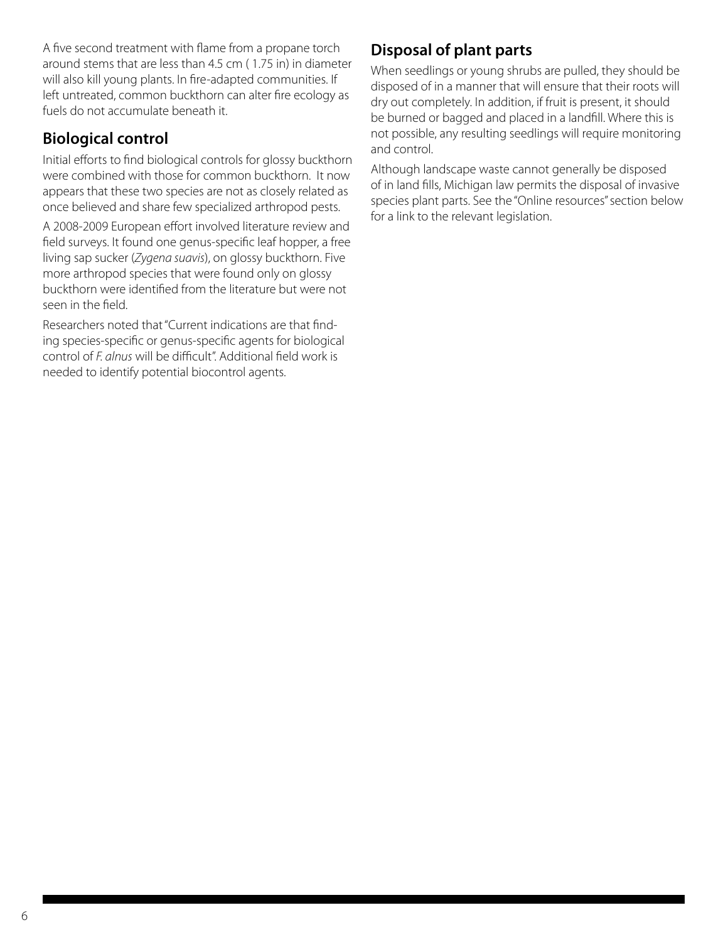A five second treatment with flame from a propane torch around stems that are less than 4.5 cm ( 1.75 in) in diameter will also kill young plants. In fire-adapted communities. If left untreated, common buckthorn can alter fire ecology as fuels do not accumulate beneath it.

### **Biological control**

Initial efforts to find biological controls for glossy buckthorn were combined with those for common buckthorn. It now appears that these two species are not as closely related as once believed and share few specialized arthropod pests.

A 2008-2009 European effort involved literature review and field surveys. It found one genus-specific leaf hopper, a free living sap sucker (*Zygena suavis*), on glossy buckthorn. Five more arthropod species that were found only on glossy buckthorn were identified from the literature but were not seen in the field.

Researchers noted that "Current indications are that finding species-specific or genus-specific agents for biological control of *F. alnus* will be difficult". Additional field work is needed to identify potential biocontrol agents.

### **Disposal of plant parts**

When seedlings or young shrubs are pulled, they should be disposed of in a manner that will ensure that their roots will dry out completely. In addition, if fruit is present, it should be burned or bagged and placed in a landfill. Where this is not possible, any resulting seedlings will require monitoring and control.

Although landscape waste cannot generally be disposed of in land fills, Michigan law permits the disposal of invasive species plant parts. See the "Online resources" section below for a link to the relevant legislation.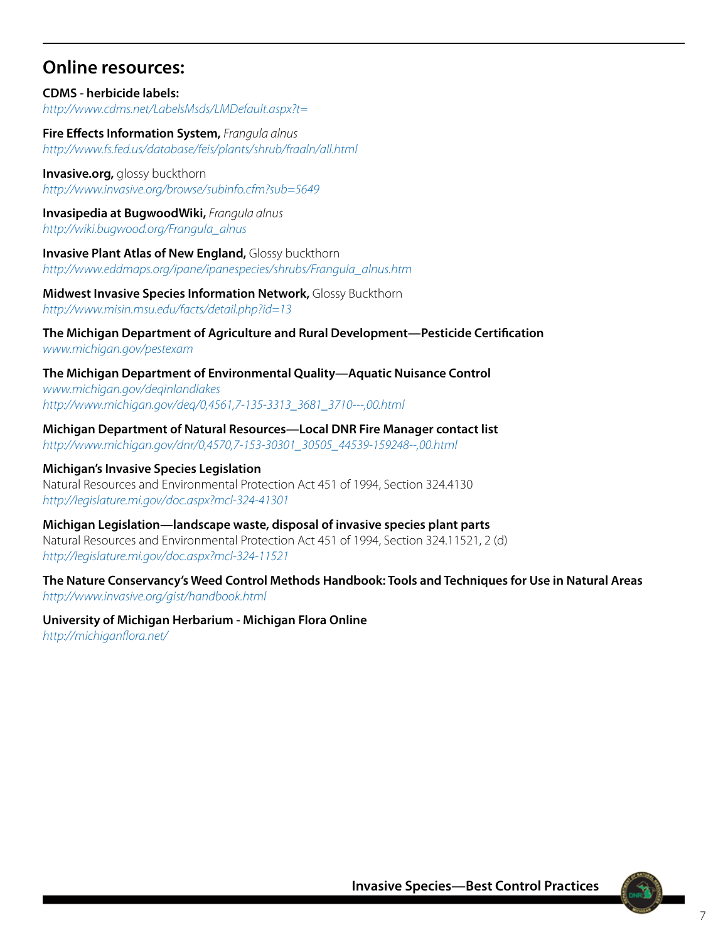### **Online resources:**

**CDMS - herbicide labels:** *http://www.cdms.net/LabelsMsds/LMDefault.aspx?t=*

**Fire Effects Information System,** *Frangula alnus http://www.fs.fed.us/database/feis/plants/shrub/fraaln/all.html*

**Invasive.org,** *glossy* buckthorn *http://www.invasive.org/browse/subinfo.cfm?sub=5649*

**Invasipedia at BugwoodWiki,** *Frangula alnus http://wiki.bugwood.org/Frangula\_alnus*

**Invasive Plant Atlas of New England,** Glossy buckthorn *http://www.eddmaps.org/ipane/ipanespecies/shrubs/Frangula\_alnus.htm*

**Midwest Invasive Species Information Network,** Glossy Buckthorn *http://www.misin.msu.edu/facts/detail.php?id=13*

**The Michigan Department of Agriculture and Rural Development—Pesticide Certification** *www.michigan.gov/pestexam* 

**The Michigan Department of Environmental Quality—Aquatic Nuisance Control** *www.michigan.gov/deqinlandlakes [http://www.michigan.gov/deq/0,4561,7-135-3313\\_3681\\_3710---,00.html](http://www.michigan.gov/deq/0,4561,7-135-3313_3681_3710---,00.html)*

**Michigan Department of Natural Resources—Local DNR Fire Manager contact list** *[http://www.michigan.gov/dnr/0,4570,7-153-30301\\_30505\\_44539-159248--,00.html](http://www.michigan.gov/dnr/0,4570,7-153-30301_30505_44539-159248--,00.html)*

**Michigan's Invasive Species Legislation** Natural Resources and Environmental Protection Act 451 of 1994, Section 324.4130 *http://legislature.mi.gov/doc.aspx?mcl-324-41301*

**Michigan Legislation—landscape waste, disposal of invasive species plant parts** Natural Resources and Environmental Protection Act 451 of 1994, Section 324.11521, 2 (d) *http://legislature.mi.gov/doc.aspx?mcl-324-11521*

**The Nature Conservancy's Weed Control Methods Handbook: Tools and Techniques for Use in Natural Areas** *http://www.invasive.org/gist/handbook.html*

**University of Michigan Herbarium - Michigan Flora Online** *http://michiganflora.net/*

**Invasive Species—Best Control Practices**

7